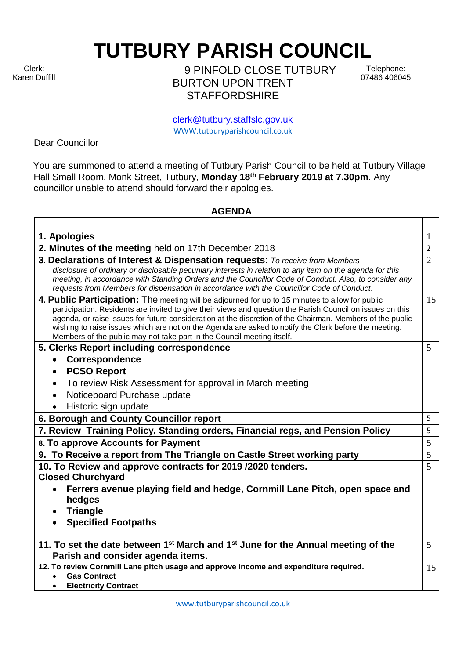Clerk: Karen Duffill **TUTBURY PARISH COUNCIL** 

9 PINFOLD CLOSE TUTBURY BURTON UPON TRENT **STAFFORDSHIRE** 

Telephone: 07486 406045

clerk@tutbury.staffslc.gov.uk [WWW.tutburyparishcouncil.co.uk](http://www.tutburyparishcouncil.co.uk/)

Dear Councillor

You are summoned to attend a meeting of Tutbury Parish Council to be held at Tutbury Village Hall Small Room, Monk Street, Tutbury, **Monday 18th February 2019 at 7.30pm**. Any councillor unable to attend should forward their apologies.

## **AGENDA**

| 1. Apologies                                                                                                                                                                                                                                                                                                                                                                                                                                                                                                  | $\mathbf{1}$   |
|---------------------------------------------------------------------------------------------------------------------------------------------------------------------------------------------------------------------------------------------------------------------------------------------------------------------------------------------------------------------------------------------------------------------------------------------------------------------------------------------------------------|----------------|
| 2. Minutes of the meeting held on 17th December 2018                                                                                                                                                                                                                                                                                                                                                                                                                                                          | $\overline{2}$ |
| 3. Declarations of Interest & Dispensation requests: To receive from Members<br>disclosure of ordinary or disclosable pecuniary interests in relation to any item on the agenda for this<br>meeting, in accordance with Standing Orders and the Councillor Code of Conduct. Also, to consider any<br>requests from Members for dispensation in accordance with the Councillor Code of Conduct.                                                                                                                | $\overline{2}$ |
| 4. Public Participation: The meeting will be adjourned for up to 15 minutes to allow for public<br>participation. Residents are invited to give their views and question the Parish Council on issues on this<br>agenda, or raise issues for future consideration at the discretion of the Chairman. Members of the public<br>wishing to raise issues which are not on the Agenda are asked to notify the Clerk before the meeting.<br>Members of the public may not take part in the Council meeting itself. | 15             |
| 5. Clerks Report including correspondence                                                                                                                                                                                                                                                                                                                                                                                                                                                                     | 5              |
| Correspondence<br>$\bullet$                                                                                                                                                                                                                                                                                                                                                                                                                                                                                   |                |
| <b>PCSO Report</b><br>$\bullet$                                                                                                                                                                                                                                                                                                                                                                                                                                                                               |                |
| To review Risk Assessment for approval in March meeting                                                                                                                                                                                                                                                                                                                                                                                                                                                       |                |
| Noticeboard Purchase update<br>$\bullet$                                                                                                                                                                                                                                                                                                                                                                                                                                                                      |                |
| Historic sign update                                                                                                                                                                                                                                                                                                                                                                                                                                                                                          |                |
| 6. Borough and County Councillor report                                                                                                                                                                                                                                                                                                                                                                                                                                                                       | 5              |
| 7. Review Training Policy, Standing orders, Financial regs, and Pension Policy                                                                                                                                                                                                                                                                                                                                                                                                                                | 5              |
| 8. To approve Accounts for Payment                                                                                                                                                                                                                                                                                                                                                                                                                                                                            | 5              |
| 9. To Receive a report from The Triangle on Castle Street working party                                                                                                                                                                                                                                                                                                                                                                                                                                       | 5              |
| 10. To Review and approve contracts for 2019 /2020 tenders.                                                                                                                                                                                                                                                                                                                                                                                                                                                   | 5              |
| <b>Closed Churchyard</b>                                                                                                                                                                                                                                                                                                                                                                                                                                                                                      |                |
| Ferrers avenue playing field and hedge, Cornmill Lane Pitch, open space and<br>hedges                                                                                                                                                                                                                                                                                                                                                                                                                         |                |
| <b>Triangle</b>                                                                                                                                                                                                                                                                                                                                                                                                                                                                                               |                |
| <b>Specified Footpaths</b>                                                                                                                                                                                                                                                                                                                                                                                                                                                                                    |                |
|                                                                                                                                                                                                                                                                                                                                                                                                                                                                                                               |                |
| 11. To set the date between 1 <sup>st</sup> March and 1 <sup>st</sup> June for the Annual meeting of the<br>Parish and consider agenda items.                                                                                                                                                                                                                                                                                                                                                                 | 5              |
| 12. To review Cornmill Lane pitch usage and approve income and expenditure required.                                                                                                                                                                                                                                                                                                                                                                                                                          | 15             |
| <b>Gas Contract</b>                                                                                                                                                                                                                                                                                                                                                                                                                                                                                           |                |
| <b>Electricity Contract</b>                                                                                                                                                                                                                                                                                                                                                                                                                                                                                   |                |